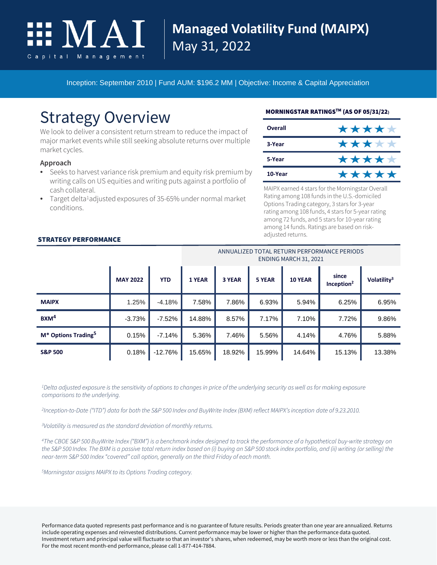

## **Managed Volatility Fund (MAIPX)** May 31, 2022

Inception: September 2010 | Fund AUM: \$196.2 MM | Objective: Income & Capital Appreciation

# Strategy Overview

We look to deliver a consistent return stream to reduce the impact of major market events while still seeking absolute returns over multiple market cycles.

#### **Approach**

- Seeks to harvest variance risk premium and equity risk premium by writing calls on US equities and writing puts against a portfolio of cash collateral.
- Target delta<sup>1</sup>adjusted exposures of 35-65% under normal market conditions.

#### MORNINGSTAR RATINGSTM (AS OF 05/31/22)

| Overall | ***** |
|---------|-------|
| 3-Year  | ***** |
| 5-Year  | ***** |
| 10-Year | ***** |

MAIPX earned 4 stars for the Morningstar Overall Rating among 108 funds in the U.S.-domiciled Options Trading category, 3 stars for 3-year rating among 108 funds, 4 stars for 5-year rating among 72 funds, and 5 stars for 10-year rating among 14 funds. Ratings are based on riskadjusted returns.

#### ANNUALIZED TOTAL RETURN PERFORMANCE PERIODS ENDING MARCH 31, 2021

|                                             |                 |            | LIVUINU MANCHUJI, ZUZI |        |        |                |                                 |                         |
|---------------------------------------------|-----------------|------------|------------------------|--------|--------|----------------|---------------------------------|-------------------------|
|                                             | <b>MAY 2022</b> | <b>YTD</b> | <b>1 YEAR</b>          | 3 YEAR | 5 YEAR | <b>10 YEAR</b> | since<br>Inception <sup>2</sup> | Volatility <sup>3</sup> |
| <b>MAIPX</b>                                | 1.25%           | $-4.18%$   | 7.58%                  | 7.86%  | 6.93%  | 5.94%          | 6.25%                           | 6.95%                   |
| $B$ XM <sup>4</sup>                         | $-3.73%$        | $-7.52%$   | 14.88%                 | 8.57%  | 7.17%  | 7.10%          | 7.72%                           | 9.86%                   |
| M <sup>*</sup> Options Trading <sup>5</sup> | 0.15%           | $-7.14%$   | 5.36%                  | 7.46%  | 5.56%  | 4.14%          | 4.76%                           | 5.88%                   |
| <b>S&amp;P 500</b>                          | 0.18%           | $-12.76%$  | 15.65%                 | 18.92% | 15.99% | 14.64%         | 15.13%                          | 13.38%                  |

*1Delta adjusted exposure is the sensitivity of options to changes in price of the underlying security as well as for making exposure comparisons to the underlying.*

*2Inception-to-Date ("ITD") data for both the S&P 500 Index and BuyWrite Index (BXM) reflect MAIPX's inception date of 9.23.2010.*

*3 Volatility is measured as the standard deviation of monthly returns.* 

*4 The CBOE S&P 500 BuyWrite Index ("BXM") is a benchmark index designed to track the performance of a hypothetical buy-write strategy on the S&P 500 Index. The BXM is a passive total return index based on (i) buying an S&P 500 stock index portfolio, and (ii) writing (or selling) the near-term S&P 500 Index "covered" call option, generally on the third Friday of each month.*

*5 Morningstar assigns MAIPX to its Options Trading category.*

Performance data quoted represents past performance and is no guarantee of future results. Periods greater than one year are annualized. Returns include operating expenses and reinvested distributions. Current performance may be lower or higher than the performance data quoted. Investment return and principal value will fluctuate so that an investor's shares, when redeemed, may be worth more or less than the original cost. For the most recent month-end performance, please call 1-877-414-7884.

#### STRATEGY PERFORMANCE